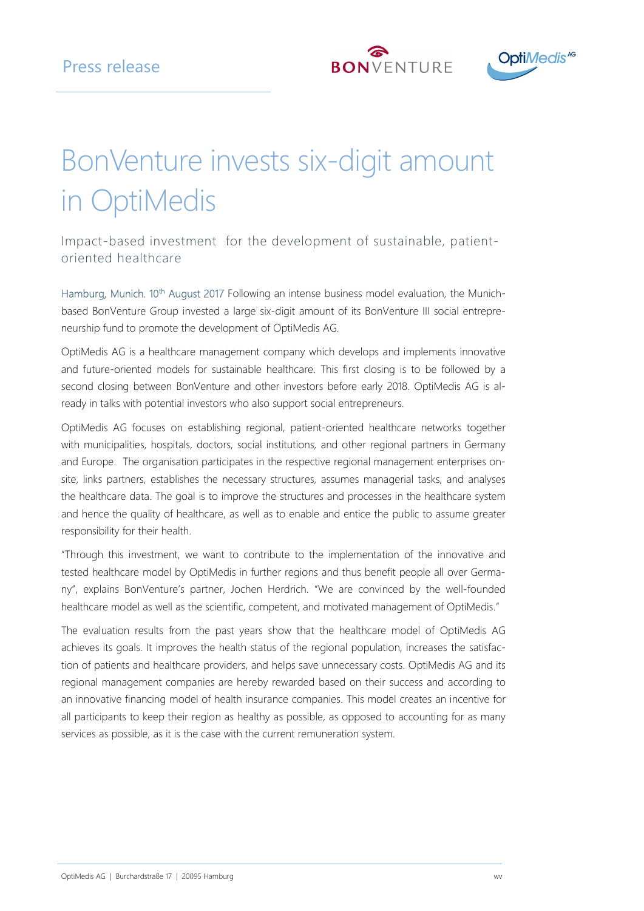



# BonVenture invests six-digit amount in OptiMedis

Impact-based investment for the development of sustainable, patientoriented healthcare

Hamburg, Munich. 10<sup>th</sup> August 2017 Following an intense business model evaluation, the Munichbased BonVenture Group invested a large six-digit amount of its BonVenture III social entrepreneurship fund to promote the development of OptiMedis AG.

OptiMedis AG is a healthcare management company which develops and implements innovative and future-oriented models for sustainable healthcare. This first closing is to be followed by a second closing between BonVenture and other investors before early 2018. OptiMedis AG is already in talks with potential investors who also support social entrepreneurs.

OptiMedis AG focuses on establishing regional, patient-oriented healthcare networks together with municipalities, hospitals, doctors, social institutions, and other regional partners in Germany and Europe. The organisation participates in the respective regional management enterprises onsite, links partners, establishes the necessary structures, assumes managerial tasks, and analyses the healthcare data. The goal is to improve the structures and processes in the healthcare system and hence the quality of healthcare, as well as to enable and entice the public to assume greater responsibility for their health.

"Through this investment, we want to contribute to the implementation of the innovative and tested healthcare model by OptiMedis in further regions and thus benefit people all over Germany", explains BonVenture's partner, Jochen Herdrich. "We are convinced by the well-founded healthcare model as well as the scientific, competent, and motivated management of OptiMedis."

The evaluation results from the past years show that the healthcare model of OptiMedis AG achieves its goals. It improves the health status of the regional population, increases the satisfaction of patients and healthcare providers, and helps save unnecessary costs. OptiMedis AG and its regional management companies are hereby rewarded based on their success and according to an innovative financing model of health insurance companies. This model creates an incentive for all participants to keep their region as healthy as possible, as opposed to accounting for as many services as possible, as it is the case with the current remuneration system.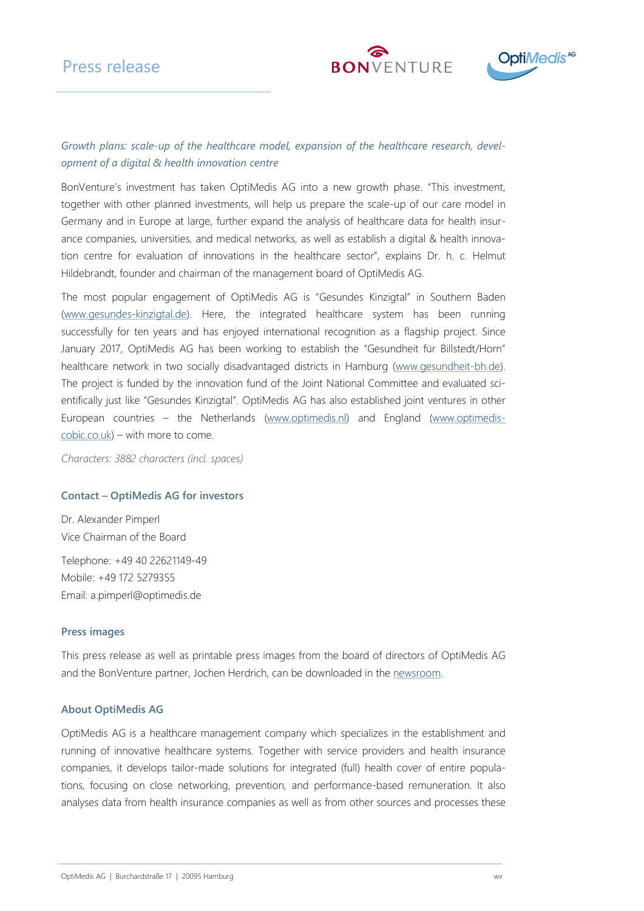## Press release





### Growth plans: scale-up of the healthcare model, expansion of the healthcare research, development of a digital & health innovation centre

BonVenture's investment has taken OptiMedis AG into a new growth phase. "This investment, together with other planned investments, will help us prepare the scale-up of our care model in Germany and in Europe at large, further expand the analysis of healthcare data for health insurance companies, universities, and medical networks, as well as establish a digital & health innovation centre for evaluation of innovations in the healthcare sector", explains Dr. h. c. Helmut Hildebrandt, founder and chairman of the management board of OptiMedis AG.

The most popular engagement of OptiMedis AG is "Gesundes Kinzigtal" in Southern Baden (www.gesundes-kinzigtal.de). Here, the integrated healthcare system has been running successfully for ten years and has enjoyed international recognition as a flagship project. Since January 2017, OptiMedis AG has been working to establish the "Gesundheit für Billstedt/Horn" healthcare network in two socially disadvantaged districts in Hamburg (www.gesundheit-bh.de). The project is funded by the innovation fund of the Joint National Committee and evaluated scientifically just like "Gesundes Kinzigtal". OptiMedis AG has also established joint ventures in other European countries – the Netherlands (www.optimedis.nl) and England (www.optimediscobic.co.uk) – with more to come.

Characters: 3882 characters (incl. spaces)

#### Contact – OptiMedis AG for investors

Dr. Alexander Pimperl Vice Chairman of the Board

Telephone: +49 40 22621149-49 Mobile: +49 172 5279355 Email: a.pimperl@optimedis.de

#### Press images

This press release as well as printable press images from the board of directors of OptiMedis AG and the BonVenture partner, Jochen Herdrich, can be downloaded in the newsroom.

#### About OptiMedis AG

OptiMedis AG is a healthcare management company which specializes in the establishment and running of innovative healthcare systems. Together with service providers and health insurance companies, it develops tailor-made solutions for integrated (full) health cover of entire populations, focusing on close networking, prevention, and performance-based remuneration. It also analyses data from health insurance companies as well as from other sources and processes these